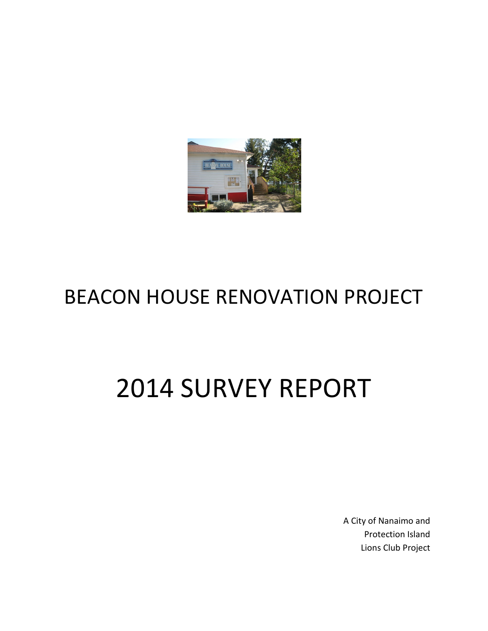

# BEACON HOUSE RENOVATION PROJECT

# 2014 SURVEY REPORT

A City of Nanaimo and Protection Island Lions Club Project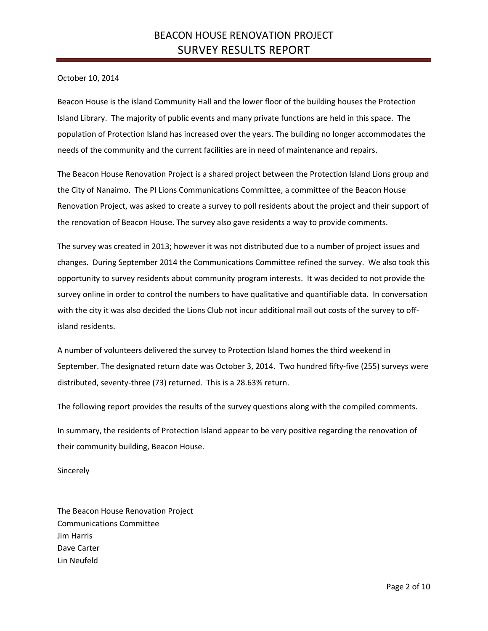October 10, 2014

Beacon House is the island Community Hall and the lower floor of the building houses the Protection Island Library. The majority of public events and many private functions are held in this space. The population of Protection Island has increased over the years. The building no longer accommodates the needs of the community and the current facilities are in need of maintenance and repairs.

The Beacon House Renovation Project is a shared project between the Protection Island Lions group and the City of Nanaimo. The PI Lions Communications Committee, a committee of the Beacon House Renovation Project, was asked to create a survey to poll residents about the project and their support of the renovation of Beacon House. The survey also gave residents a way to provide comments.

The survey was created in 2013; however it was not distributed due to a number of project issues and changes. During September 2014 the Communications Committee refined the survey. We also took this opportunity to survey residents about community program interests. It was decided to not provide the survey online in order to control the numbers to have qualitative and quantifiable data. In conversation with the city it was also decided the Lions Club not incur additional mail out costs of the survey to offisland residents.

A number of volunteers delivered the survey to Protection Island homes the third weekend in September. The designated return date was October 3, 2014. Two hundred fifty-five (255) surveys were distributed, seventy-three (73) returned. This is a 28.63% return.

The following report provides the results of the survey questions along with the compiled comments.

In summary, the residents of Protection Island appear to be very positive regarding the renovation of their community building, Beacon House.

Sincerely

The Beacon House Renovation Project Communications Committee Jim Harris Dave Carter Lin Neufeld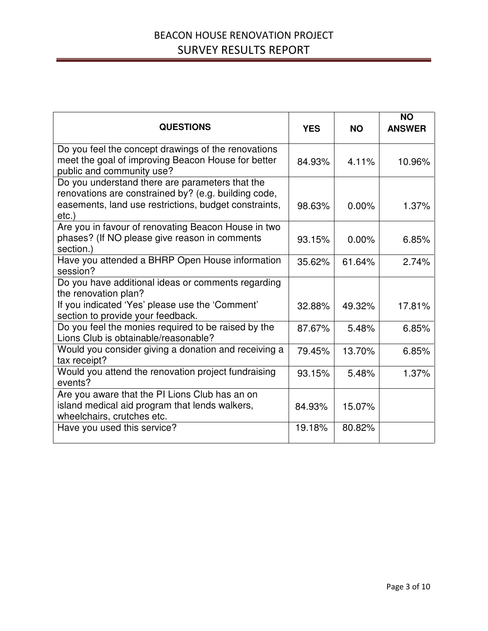| <b>QUESTIONS</b>                                                                                                                                                             | <b>YES</b> | <b>NO</b> | <b>NO</b><br><b>ANSWER</b> |
|------------------------------------------------------------------------------------------------------------------------------------------------------------------------------|------------|-----------|----------------------------|
| Do you feel the concept drawings of the renovations<br>meet the goal of improving Beacon House for better<br>public and community use?                                       | 84.93%     | 4.11%     | 10.96%                     |
| Do you understand there are parameters that the<br>renovations are constrained by? (e.g. building code,<br>easements, land use restrictions, budget constraints,<br>$etc.$ ) | 98.63%     | $0.00\%$  | 1.37%                      |
| Are you in favour of renovating Beacon House in two<br>phases? (If NO please give reason in comments<br>section.)                                                            | 93.15%     | $0.00\%$  | 6.85%                      |
| Have you attended a BHRP Open House information<br>session?                                                                                                                  | 35.62%     | 61.64%    | 2.74%                      |
| Do you have additional ideas or comments regarding<br>the renovation plan?                                                                                                   |            |           |                            |
| If you indicated 'Yes' please use the 'Comment'<br>section to provide your feedback.                                                                                         | 32.88%     | 49.32%    | 17.81%                     |
| Do you feel the monies required to be raised by the<br>Lions Club is obtainable/reasonable?                                                                                  | 87.67%     | 5.48%     | 6.85%                      |
| Would you consider giving a donation and receiving a<br>tax receipt?                                                                                                         | 79.45%     | 13.70%    | 6.85%                      |
| Would you attend the renovation project fundraising<br>events?                                                                                                               | 93.15%     | 5.48%     | 1.37%                      |
| Are you aware that the PI Lions Club has an on<br>island medical aid program that lends walkers,<br>wheelchairs, crutches etc.                                               | 84.93%     | 15.07%    |                            |
| Have you used this service?                                                                                                                                                  | 19.18%     | 80.82%    |                            |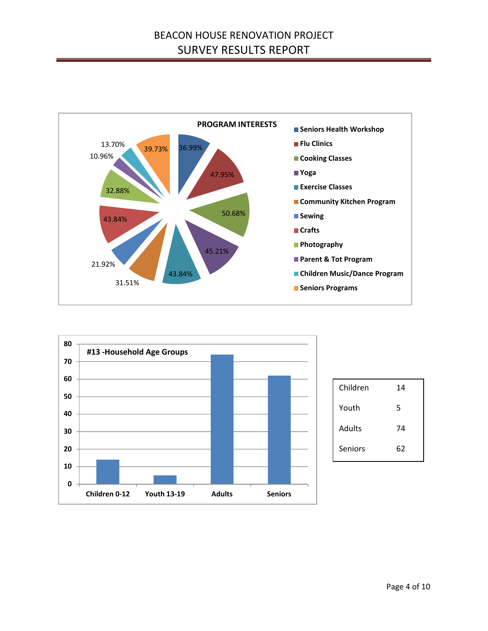



| Children      | 14 |
|---------------|----|
| Youth         | 5  |
| <b>Adults</b> | 74 |
| Seniors       | 62 |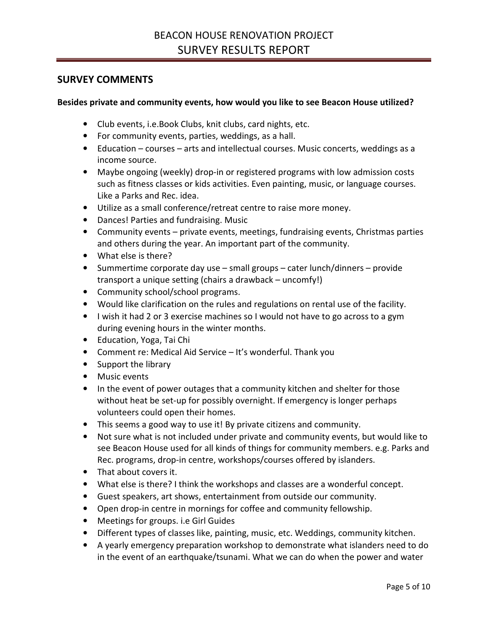#### SURVEY COMMENTS

#### Besides private and community events, how would you like to see Beacon House utilized?

- Club events, i.e.Book Clubs, knit clubs, card nights, etc.
- For community events, parties, weddings, as a hall.
- Education courses arts and intellectual courses. Music concerts, weddings as a income source.
- Maybe ongoing (weekly) drop-in or registered programs with low admission costs such as fitness classes or kids activities. Even painting, music, or language courses. Like a Parks and Rec. idea.
- Utilize as a small conference/retreat centre to raise more money.
- Dances! Parties and fundraising. Music
- Community events private events, meetings, fundraising events, Christmas parties and others during the year. An important part of the community.
- What else is there?
- Summertime corporate day use small groups cater lunch/dinners provide transport a unique setting (chairs a drawback – uncomfy!)
- Community school/school programs.
- Would like clarification on the rules and regulations on rental use of the facility.
- I wish it had 2 or 3 exercise machines so I would not have to go across to a gym during evening hours in the winter months.
- Education, Yoga, Tai Chi
- Comment re: Medical Aid Service It's wonderful. Thank you
- Support the library
- Music events
- In the event of power outages that a community kitchen and shelter for those without heat be set-up for possibly overnight. If emergency is longer perhaps volunteers could open their homes.
- This seems a good way to use it! By private citizens and community.
- Not sure what is not included under private and community events, but would like to see Beacon House used for all kinds of things for community members. e.g. Parks and Rec. programs, drop-in centre, workshops/courses offered by islanders.
- That about covers it.
- What else is there? I think the workshops and classes are a wonderful concept.
- Guest speakers, art shows, entertainment from outside our community.
- Open drop-in centre in mornings for coffee and community fellowship.
- Meetings for groups. i.e Girl Guides
- Different types of classes like, painting, music, etc. Weddings, community kitchen.
- A yearly emergency preparation workshop to demonstrate what islanders need to do in the event of an earthquake/tsunami. What we can do when the power and water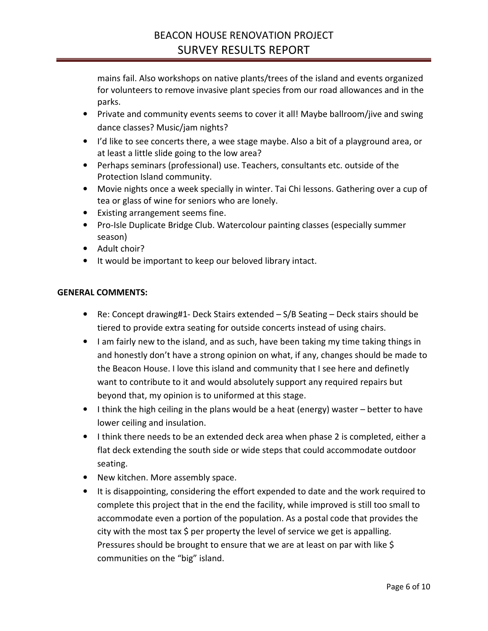mains fail. Also workshops on native plants/trees of the island and events organized for volunteers to remove invasive plant species from our road allowances and in the parks.

- Private and community events seems to cover it all! Maybe ballroom/jive and swing dance classes? Music/jam nights?
- I'd like to see concerts there, a wee stage maybe. Also a bit of a playground area, or at least a little slide going to the low area?
- Perhaps seminars (professional) use. Teachers, consultants etc. outside of the Protection Island community.
- Movie nights once a week specially in winter. Tai Chi lessons. Gathering over a cup of tea or glass of wine for seniors who are lonely.
- Existing arrangement seems fine.
- Pro-Isle Duplicate Bridge Club. Watercolour painting classes (especially summer season)
- Adult choir?
- It would be important to keep our beloved library intact.

#### GENERAL COMMENTS:

- Re: Concept drawing#1- Deck Stairs extended S/B Seating Deck stairs should be tiered to provide extra seating for outside concerts instead of using chairs.
- I am fairly new to the island, and as such, have been taking my time taking things in and honestly don't have a strong opinion on what, if any, changes should be made to the Beacon House. I love this island and community that I see here and definetly want to contribute to it and would absolutely support any required repairs but beyond that, my opinion is to uniformed at this stage.
- I think the high ceiling in the plans would be a heat (energy) waster better to have lower ceiling and insulation.
- I think there needs to be an extended deck area when phase 2 is completed, either a flat deck extending the south side or wide steps that could accommodate outdoor seating.
- New kitchen. More assembly space.
- It is disappointing, considering the effort expended to date and the work required to complete this project that in the end the facility, while improved is still too small to accommodate even a portion of the population. As a postal code that provides the city with the most tax \$ per property the level of service we get is appalling. Pressures should be brought to ensure that we are at least on par with like \$ communities on the "big" island.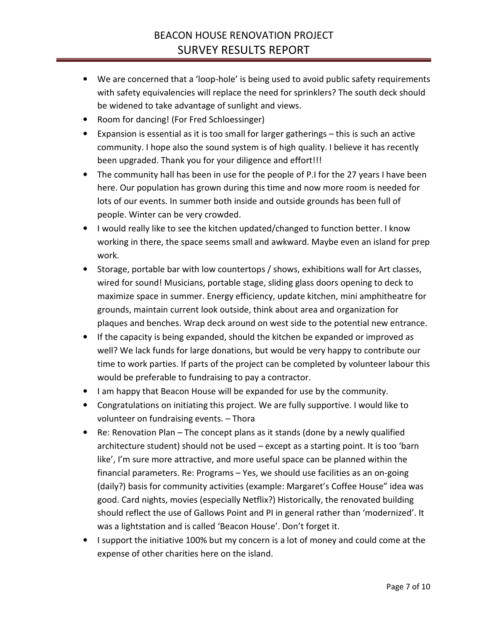- We are concerned that a 'loop-hole' is being used to avoid public safety requirements with safety equivalencies will replace the need for sprinklers? The south deck should be widened to take advantage of sunlight and views.
- Room for dancing! (For Fred Schloessinger)
- Expansion is essential as it is too small for larger gatherings this is such an active community. I hope also the sound system is of high quality. I believe it has recently been upgraded. Thank you for your diligence and effort!!!
- The community hall has been in use for the people of P.I for the 27 years I have been here. Our population has grown during this time and now more room is needed for lots of our events. In summer both inside and outside grounds has been full of people. Winter can be very crowded.
- I would really like to see the kitchen updated/changed to function better. I know working in there, the space seems small and awkward. Maybe even an island for prep work.
- Storage, portable bar with low countertops / shows, exhibitions wall for Art classes, wired for sound! Musicians, portable stage, sliding glass doors opening to deck to maximize space in summer. Energy efficiency, update kitchen, mini amphitheatre for grounds, maintain current look outside, think about area and organization for plaques and benches. Wrap deck around on west side to the potential new entrance.
- If the capacity is being expanded, should the kitchen be expanded or improved as well? We lack funds for large donations, but would be very happy to contribute our time to work parties. If parts of the project can be completed by volunteer labour this would be preferable to fundraising to pay a contractor.
- I am happy that Beacon House will be expanded for use by the community.
- Congratulations on initiating this project. We are fully supportive. I would like to volunteer on fundraising events. – Thora
- Re: Renovation Plan The concept plans as it stands (done by a newly qualified architecture student) should not be used – except as a starting point. It is too 'barn like', I'm sure more attractive, and more useful space can be planned within the financial parameters. Re: Programs – Yes, we should use facilities as an on-going (daily?) basis for community activities (example: Margaret's Coffee House" idea was good. Card nights, movies (especially Netflix?) Historically, the renovated building should reflect the use of Gallows Point and PI in general rather than 'modernized'. It was a lightstation and is called 'Beacon House'. Don't forget it.
- I support the initiative 100% but my concern is a lot of money and could come at the expense of other charities here on the island.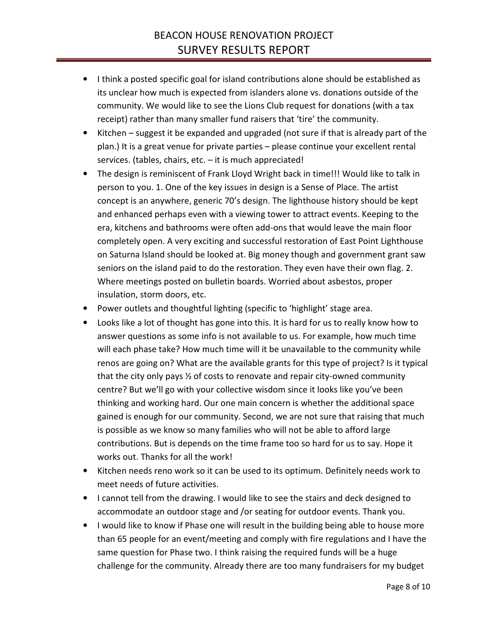- I think a posted specific goal for island contributions alone should be established as its unclear how much is expected from islanders alone vs. donations outside of the community. We would like to see the Lions Club request for donations (with a tax receipt) rather than many smaller fund raisers that 'tire' the community.
- Kitchen suggest it be expanded and upgraded (not sure if that is already part of the plan.) It is a great venue for private parties – please continue your excellent rental services. (tables, chairs, etc. – it is much appreciated!
- The design is reminiscent of Frank Lloyd Wright back in time!!! Would like to talk in person to you. 1. One of the key issues in design is a Sense of Place. The artist concept is an anywhere, generic 70's design. The lighthouse history should be kept and enhanced perhaps even with a viewing tower to attract events. Keeping to the era, kitchens and bathrooms were often add-ons that would leave the main floor completely open. A very exciting and successful restoration of East Point Lighthouse on Saturna Island should be looked at. Big money though and government grant saw seniors on the island paid to do the restoration. They even have their own flag. 2. Where meetings posted on bulletin boards. Worried about asbestos, proper insulation, storm doors, etc.
- Power outlets and thoughtful lighting (specific to 'highlight' stage area.
- Looks like a lot of thought has gone into this. It is hard for us to really know how to answer questions as some info is not available to us. For example, how much time will each phase take? How much time will it be unavailable to the community while renos are going on? What are the available grants for this type of project? Is it typical that the city only pays ½ of costs to renovate and repair city-owned community centre? But we'll go with your collective wisdom since it looks like you've been thinking and working hard. Our one main concern is whether the additional space gained is enough for our community. Second, we are not sure that raising that much is possible as we know so many families who will not be able to afford large contributions. But is depends on the time frame too so hard for us to say. Hope it works out. Thanks for all the work!
- Kitchen needs reno work so it can be used to its optimum. Definitely needs work to meet needs of future activities.
- I cannot tell from the drawing. I would like to see the stairs and deck designed to accommodate an outdoor stage and /or seating for outdoor events. Thank you.
- I would like to know if Phase one will result in the building being able to house more than 65 people for an event/meeting and comply with fire regulations and I have the same question for Phase two. I think raising the required funds will be a huge challenge for the community. Already there are too many fundraisers for my budget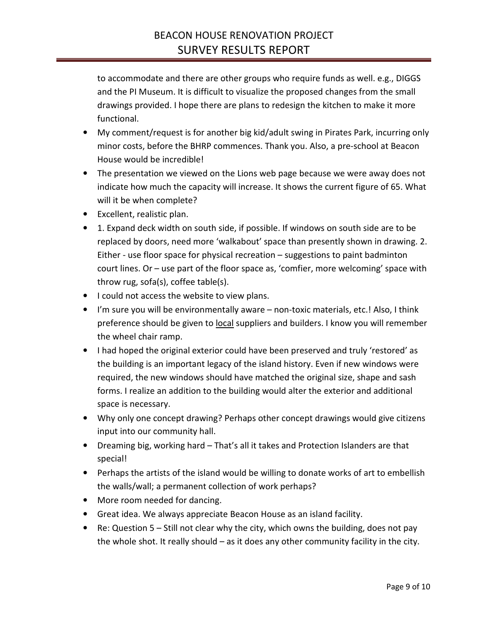to accommodate and there are other groups who require funds as well. e.g., DIGGS and the PI Museum. It is difficult to visualize the proposed changes from the small drawings provided. I hope there are plans to redesign the kitchen to make it more functional.

- My comment/request is for another big kid/adult swing in Pirates Park, incurring only minor costs, before the BHRP commences. Thank you. Also, a pre-school at Beacon House would be incredible!
- The presentation we viewed on the Lions web page because we were away does not indicate how much the capacity will increase. It shows the current figure of 65. What will it be when complete?
- Excellent, realistic plan.
- 1. Expand deck width on south side, if possible. If windows on south side are to be replaced by doors, need more 'walkabout' space than presently shown in drawing. 2. Either - use floor space for physical recreation – suggestions to paint badminton court lines. Or – use part of the floor space as, 'comfier, more welcoming' space with throw rug, sofa(s), coffee table(s).
- I could not access the website to view plans.
- I'm sure you will be environmentally aware non-toxic materials, etc.! Also, I think preference should be given to local suppliers and builders. I know you will remember the wheel chair ramp.
- I had hoped the original exterior could have been preserved and truly 'restored' as the building is an important legacy of the island history. Even if new windows were required, the new windows should have matched the original size, shape and sash forms. I realize an addition to the building would alter the exterior and additional space is necessary.
- Why only one concept drawing? Perhaps other concept drawings would give citizens input into our community hall.
- Dreaming big, working hard That's all it takes and Protection Islanders are that special!
- Perhaps the artists of the island would be willing to donate works of art to embellish the walls/wall; a permanent collection of work perhaps?
- More room needed for dancing.
- Great idea. We always appreciate Beacon House as an island facility.
- Re: Question  $5 Still$  not clear why the city, which owns the building, does not pay the whole shot. It really should – as it does any other community facility in the city.